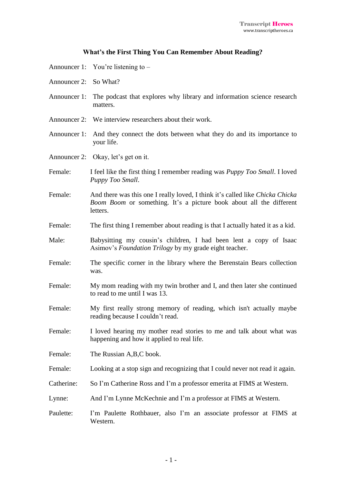## **What's the First Thing You Can Remember About Reading?**

| Announcer 1: You're listening to - |  |  |
|------------------------------------|--|--|
|                                    |  |  |

- Announcer 2: So What?
- Announcer 1: The podcast that explores why library and information science research matters.
- Announcer 2: We interview researchers about their work.
- Announcer 1: And they connect the dots between what they do and its importance to your life.
- Announcer 2: Okay, let's get on it.
- Female: I feel like the first thing I remember reading was *Puppy Too Small*. I loved *Puppy Too Small*.
- Female: And there was this one I really loved, I think it's called like *Chicka Chicka Boom Boom* or something. It's a picture book about all the different letters.
- Female: The first thing I remember about reading is that I actually hated it as a kid.
- Male: Babysitting my cousin's children, I had been lent a copy of Isaac Asimov's *Foundation Trilogy* by my grade eight teacher.
- Female: The specific corner in the library where the Berenstain Bears collection was.
- Female: My mom reading with my twin brother and I, and then later she continued to read to me until I was 13.
- Female: My first really strong memory of reading, which isn't actually maybe reading because I couldn't read.
- Female: I loved hearing my mother read stories to me and talk about what was happening and how it applied to real life.
- Female: The Russian A,B,C book.
- Female: Looking at a stop sign and recognizing that I could never not read it again.
- Catherine: So I'm Catherine Ross and I'm a professor emerita at FIMS at Western.
- Lynne: And I'm Lynne McKechnie and I'm a professor at FIMS at Western.
- Paulette: I'm Paulette Rothbauer, also I'm an associate professor at FIMS at Western.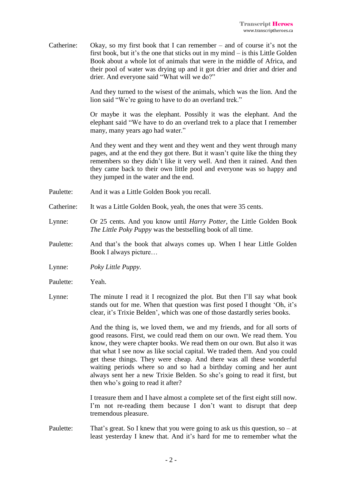Catherine: Okay, so my first book that I can remember – and of course it's not the first book, but it's the one that sticks out in my mind – is this Little Golden Book about a whole lot of animals that were in the middle of Africa, and their pool of water was drying up and it got drier and drier and drier and drier. And everyone said "What will we do?"

> And they turned to the wisest of the animals, which was the lion. And the lion said "We're going to have to do an overland trek."

> Or maybe it was the elephant. Possibly it was the elephant. And the elephant said "We have to do an overland trek to a place that I remember many, many years ago had water."

> And they went and they went and they went and they went through many pages, and at the end they got there. But it wasn't quite like the thing they remembers so they didn't like it very well. And then it rained. And then they came back to their own little pool and everyone was so happy and they jumped in the water and the end.

- Paulette: And it was a Little Golden Book you recall.
- Catherine: It was a Little Golden Book, yeah, the ones that were 35 cents.
- Lynne: Or 25 cents. And you know until *Harry Potter*, the Little Golden Book *The Little Poky Puppy* was the bestselling book of all time.
- Paulette: And that's the book that always comes up. When I hear Little Golden Book I always picture…
- Lynne: *Poky Little Puppy.*
- Paulette: Yeah.
- Lynne: The minute I read it I recognized the plot. But then I'll say what book stands out for me. When that question was first posed I thought 'Oh, it's clear, it's Trixie Belden', which was one of those dastardly series books.

And the thing is, we loved them, we and my friends, and for all sorts of good reasons. First, we could read them on our own. We read them. You know, they were chapter books. We read them on our own. But also it was that what I see now as like social capital. We traded them. And you could get these things. They were cheap. And there was all these wonderful waiting periods where so and so had a birthday coming and her aunt always sent her a new Trixie Belden. So she's going to read it first, but then who's going to read it after?

I treasure them and I have almost a complete set of the first eight still now. I'm not re-reading them because I don't want to disrupt that deep tremendous pleasure.

Paulette: That's great. So I knew that you were going to ask us this question, so – at least yesterday I knew that. And it's hard for me to remember what the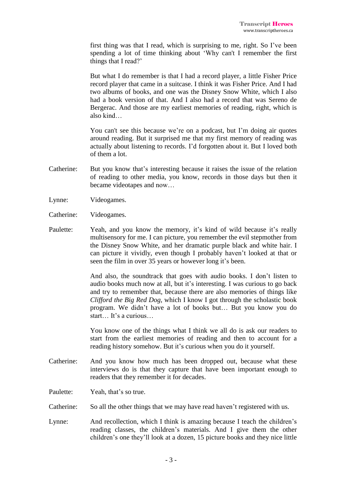first thing was that I read, which is surprising to me, right. So I've been spending a lot of time thinking about 'Why can't I remember the first things that I read?'

But what I do remember is that I had a record player, a little Fisher Price record player that came in a suitcase. I think it was Fisher Price. And I had two albums of books, and one was the Disney Snow White, which I also had a book version of that. And I also had a record that was Sereno de Bergerac. And those are my earliest memories of reading, right, which is also kind…

You can't see this because we're on a podcast, but I'm doing air quotes around reading. But it surprised me that my first memory of reading was actually about listening to records. I'd forgotten about it. But I loved both of them a lot.

- Catherine: But you know that's interesting because it raises the issue of the relation of reading to other media, you know, records in those days but then it became videotapes and now…
- Lynne: Videogames.
- Catherine: Videogames.
- Paulette: Yeah, and you know the memory, it's kind of wild because it's really multisensory for me. I can picture, you remember the evil stepmother from the Disney Snow White, and her dramatic purple black and white hair. I can picture it vividly, even though I probably haven't looked at that or seen the film in over 35 years or however long it's been.

And also, the soundtrack that goes with audio books. I don't listen to audio books much now at all, but it's interesting. I was curious to go back and try to remember that, because there are also memories of things like *Clifford the Big Red Dog*, which I know I got through the scholastic book program. We didn't have a lot of books but… But you know you do start… It's a curious…

You know one of the things what I think we all do is ask our readers to start from the earliest memories of reading and then to account for a reading history somehow. But it's curious when you do it yourself.

- Catherine: And you know how much has been dropped out, because what these interviews do is that they capture that have been important enough to readers that they remember it for decades.
- Paulette: Yeah, that's so true.
- Catherine: So all the other things that we may have read haven't registered with us.
- Lynne: And recollection, which I think is amazing because I teach the children's reading classes, the children's materials. And I give them the other children's one they'll look at a dozen, 15 picture books and they nice little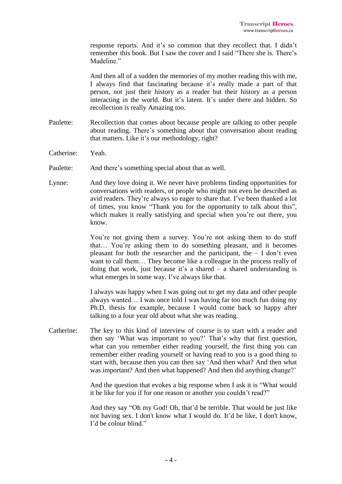response reports. And it's so common that they recollect that. I didn't remember this book. But I saw the cover and I said "There she is. There's Madeline."

And then all of a sudden the memories of my mother reading this with me, I always find that fascinating because it's really made a part of that person, not just their history as a reader but their history as a person interacting in the world. But it's latent. It's under there and hidden. So recollection is really Amazing too.

- Paulette: Recollection that comes about because people are talking to other people about reading. There's something about that conversation about reading that matters. Like it's our methodology, right?
- Catherine: Yeah.
- Paulette: And there's something special about that as well.
- Lynne: And they love doing it. We never have problems finding opportunities for conversations with readers, or people who might not even be described as avid readers. They're always so eager to share that. I've been thanked a lot of times, you know "Thank you for the opportunity to talk about this", which makes it really satisfying and special when you're out there, you know.

You're not giving them a survey. You're not asking them to do stuff that… You're asking them to do something pleasant, and it becomes pleasant for both the researcher and the participant, the  $- I$  don't even want to call them… They become like a colleague in the process really of doing that work, just because it's a shared  $-$  a shared understanding is what emerges in some way. I've always like that.

I always was happy when I was going out to get my data and other people always wanted… I was once told I was having far too much fun doing my Ph.D. thesis for example, because I would come back so happy after talking to a four year old about what she was reading.

Catherine: The key to this kind of interview of course is to start with a reader and then say 'What was important to you?' That's why that first question, what can you remember either reading yourself, the first thing you can remember either reading yourself or having read to you is a good thing to start with, because then you can then say 'And then what? And then what was important? And then what happened? And then did anything change?'

> And the question that evokes a big response when I ask it is "What would it be like for you if for one reason or another you couldn't read?"

> And they say "Oh my God! Oh, that'd be terrible. That would be just like not having sex. I don't know what I would do. It'd be like, I don't know, I'd be colour blind."